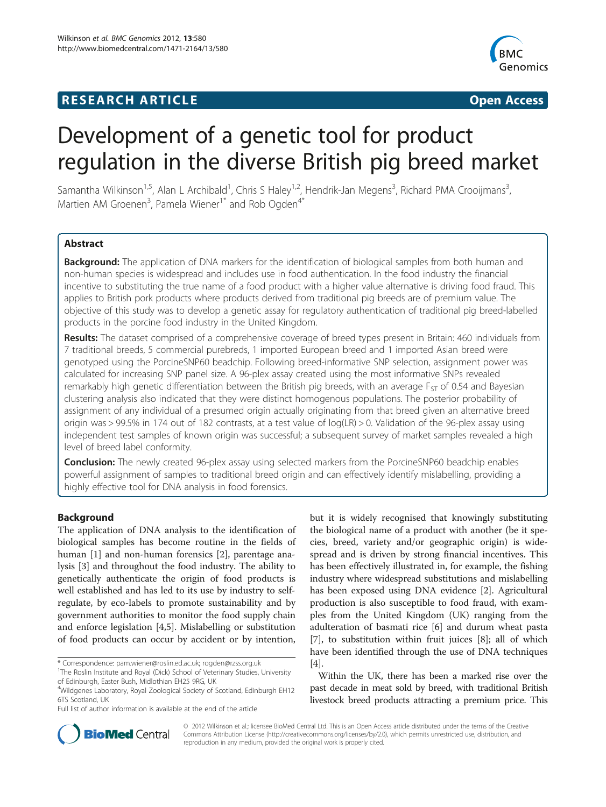# **RESEARCH ARTICLE Example 2014 CONSIDERING A RESEARCH ARTICLE**



# Development of a genetic tool for product regulation in the diverse British pig breed market

Samantha Wilkinson<sup>1,5</sup>, Alan L Archibald<sup>1</sup>, Chris S Haley<sup>1,2</sup>, Hendrik-Jan Megens<sup>3</sup>, Richard PMA Crooijmans<sup>3</sup> , Martien AM Groenen<sup>3</sup>, Pamela Wiener<sup>1\*</sup> and Rob Ogden<sup>4\*</sup>

# Abstract

**Background:** The application of DNA markers for the identification of biological samples from both human and non-human species is widespread and includes use in food authentication. In the food industry the financial incentive to substituting the true name of a food product with a higher value alternative is driving food fraud. This applies to British pork products where products derived from traditional pig breeds are of premium value. The objective of this study was to develop a genetic assay for regulatory authentication of traditional pig breed-labelled products in the porcine food industry in the United Kingdom.

Results: The dataset comprised of a comprehensive coverage of breed types present in Britain: 460 individuals from 7 traditional breeds, 5 commercial purebreds, 1 imported European breed and 1 imported Asian breed were genotyped using the PorcineSNP60 beadchip. Following breed-informative SNP selection, assignment power was calculated for increasing SNP panel size. A 96-plex assay created using the most informative SNPs revealed remarkably high genetic differentiation between the British pig breeds, with an average  $F_{ST}$  of 0.54 and Bayesian clustering analysis also indicated that they were distinct homogenous populations. The posterior probability of assignment of any individual of a presumed origin actually originating from that breed given an alternative breed origin was > 99.5% in 174 out of 182 contrasts, at a test value of log(LR) > 0. Validation of the 96-plex assay using independent test samples of known origin was successful; a subsequent survey of market samples revealed a high level of breed label conformity.

**Conclusion:** The newly created 96-plex assay using selected markers from the PorcineSNP60 beadchip enables powerful assignment of samples to traditional breed origin and can effectively identify mislabelling, providing a highly effective tool for DNA analysis in food forensics.

# Background

The application of DNA analysis to the identification of biological samples has become routine in the fields of human [[1\]](#page-10-0) and non-human forensics [[2\]](#page-10-0), parentage analysis [\[3\]](#page-10-0) and throughout the food industry. The ability to genetically authenticate the origin of food products is well established and has led to its use by industry to selfregulate, by eco-labels to promote sustainability and by government authorities to monitor the food supply chain and enforce legislation [\[4,5](#page-10-0)]. Mislabelling or substitution of food products can occur by accident or by intention,

\* Correspondence: [pam.wiener@roslin.ed.ac.uk;](mailto:pam.wiener@roslin.ed.ac.uk) [rogden@rzss.org.uk](mailto:rogden@rzss.org.uk) <sup>1</sup>

Full list of author information is available at the end of the article

but it is widely recognised that knowingly substituting the biological name of a product with another (be it species, breed, variety and/or geographic origin) is widespread and is driven by strong financial incentives. This has been effectively illustrated in, for example, the fishing industry where widespread substitutions and mislabelling has been exposed using DNA evidence [\[2](#page-10-0)]. Agricultural production is also susceptible to food fraud, with examples from the United Kingdom (UK) ranging from the adulteration of basmati rice [\[6](#page-10-0)] and durum wheat pasta [[7\]](#page-10-0), to substitution within fruit juices [\[8](#page-10-0)]; all of which have been identified through the use of DNA techniques [[4\]](#page-10-0).

Within the UK, there has been a marked rise over the past decade in meat sold by breed, with traditional British livestock breed products attracting a premium price. This



© 2012 Wilkinson et al.; licensee BioMed Central Ltd. This is an Open Access article distributed under the terms of the Creative Commons Attribution License (http://creativecommons.org/licenses/by/2.0), which permits unrestricted use, distribution, and reproduction in any medium, provided the original work is properly cited.

<sup>&</sup>lt;sup>1</sup>The Roslin Institute and Royal (Dick) School of Veterinary Studies, University of Edinburgh, Easter Bush, Midlothian EH25 9RG, UK

<sup>4</sup> Wildgenes Laboratory, Royal Zoological Society of Scotland, Edinburgh EH12 6TS Scotland, UK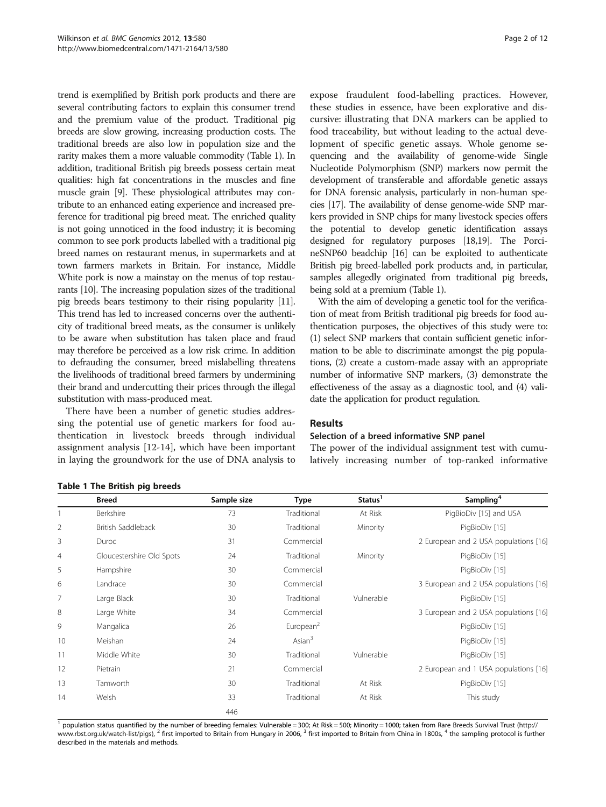<span id="page-1-0"></span>trend is exemplified by British pork products and there are several contributing factors to explain this consumer trend and the premium value of the product. Traditional pig breeds are slow growing, increasing production costs. The traditional breeds are also low in population size and the rarity makes them a more valuable commodity (Table 1). In addition, traditional British pig breeds possess certain meat qualities: high fat concentrations in the muscles and fine muscle grain [\[9](#page-10-0)]. These physiological attributes may contribute to an enhanced eating experience and increased preference for traditional pig breed meat. The enriched quality is not going unnoticed in the food industry; it is becoming common to see pork products labelled with a traditional pig breed names on restaurant menus, in supermarkets and at town farmers markets in Britain. For instance, Middle White pork is now a mainstay on the menus of top restaurants [\[10](#page-10-0)]. The increasing population sizes of the traditional pig breeds bears testimony to their rising popularity [\[11](#page-10-0)]. This trend has led to increased concerns over the authenticity of traditional breed meats, as the consumer is unlikely to be aware when substitution has taken place and fraud may therefore be perceived as a low risk crime. In addition to defrauding the consumer, breed mislabelling threatens the livelihoods of traditional breed farmers by undermining their brand and undercutting their prices through the illegal substitution with mass-produced meat.

There have been a number of genetic studies addressing the potential use of genetic markers for food authentication in livestock breeds through individual assignment analysis [\[12](#page-10-0)-[14](#page-11-0)], which have been important in laying the groundwork for the use of DNA analysis to expose fraudulent food-labelling practices. However, these studies in essence, have been explorative and discursive: illustrating that DNA markers can be applied to food traceability, but without leading to the actual development of specific genetic assays. Whole genome sequencing and the availability of genome-wide Single Nucleotide Polymorphism (SNP) markers now permit the development of transferable and affordable genetic assays for DNA forensic analysis, particularly in non-human species [\[17\]](#page-11-0). The availability of dense genome-wide SNP markers provided in SNP chips for many livestock species offers the potential to develop genetic identification assays designed for regulatory purposes [\[18,19\]](#page-11-0). The PorcineSNP60 beadchip [\[16\]](#page-11-0) can be exploited to authenticate British pig breed-labelled pork products and, in particular, samples allegedly originated from traditional pig breeds, being sold at a premium (Table 1).

With the aim of developing a genetic tool for the verification of meat from British traditional pig breeds for food authentication purposes, the objectives of this study were to: (1) select SNP markers that contain sufficient genetic information to be able to discriminate amongst the pig populations, (2) create a custom-made assay with an appropriate number of informative SNP markers, (3) demonstrate the effectiveness of the assay as a diagnostic tool, and (4) validate the application for product regulation.

#### Results

#### Selection of a breed informative SNP panel

The power of the individual assignment test with cumulatively increasing number of top-ranked informative

|    | <b>Breed</b>              | Sample size | <b>Type</b>           | Status <sup>1</sup> | Sampling <sup>4</sup>                 |
|----|---------------------------|-------------|-----------------------|---------------------|---------------------------------------|
|    | Berkshire                 | 73          | Traditional           | At Risk             | PigBioDiv [15] and USA                |
| 2  | British Saddleback        | 30          | Traditional           | Minority            | PigBioDiv [15]                        |
| 3  | Duroc                     | 31          | Commercial            |                     | 2 European and 2 USA populations [16] |
| 4  | Gloucestershire Old Spots | 24          | Traditional           | Minority            | PigBioDiv [15]                        |
| 5  | Hampshire                 | 30          | Commercial            |                     | PigBioDiv [15]                        |
| 6  | Landrace                  | 30          | Commercial            |                     | 3 European and 2 USA populations [16] |
| 7  | Large Black               | 30          | Traditional           | Vulnerable          | PigBioDiv [15]                        |
| 8  | Large White               | 34          | Commercial            |                     | 3 European and 2 USA populations [16] |
| 9  | Mangalica                 | 26          | European <sup>2</sup> |                     | PigBioDiv [15]                        |
| 10 | Meishan                   | 24          | Asian <sup>3</sup>    |                     | PigBioDiv [15]                        |
| 11 | Middle White              | 30          | Traditional           | Vulnerable          | PigBioDiv [15]                        |
| 12 | Pietrain                  | 21          | Commercial            |                     | 2 European and 1 USA populations [16] |
| 13 | Tamworth                  | 30          | Traditional           | At Risk             | PigBioDiv [15]                        |
| 14 | Welsh                     | 33          | Traditional           | At Risk             | This study                            |
|    |                           | 446         |                       |                     |                                       |

#### Table 1 The British pig breeds

<sup>1</sup> population status quantified by the number of breeding females: Vulnerable = 300; At Risk = 500; Minority = 1000; taken from Rare Breeds Survival Trust [\(http://](http://www.rbst.org.uk/watch-list/pigs) [www.rbst.org.uk/watch-list/pigs](http://www.rbst.org.uk/watch-list/pigs)), <sup>2</sup> first imported to Britain from Hungary in 2006, <sup>3</sup> first imported to Britain from China in 1800s, <sup>4</sup> the sampling protocol is further described in the materials and methods.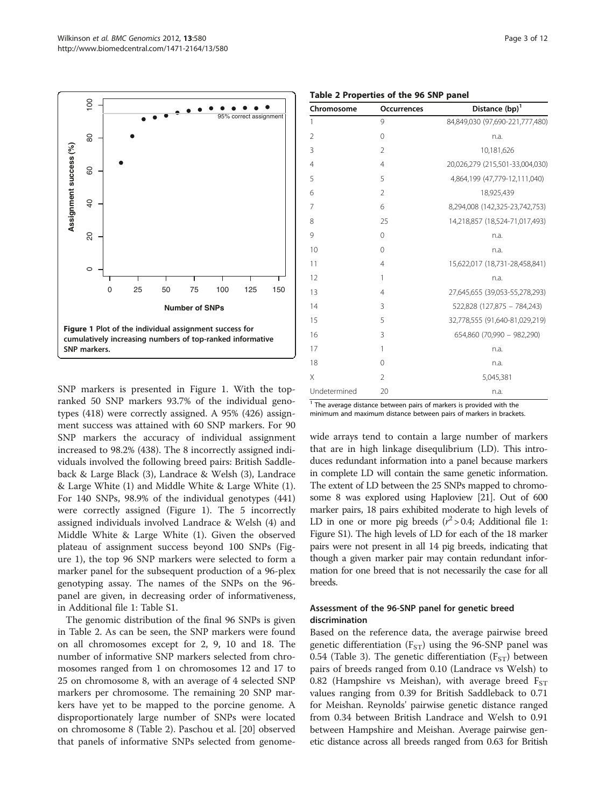<span id="page-2-0"></span>

SNP markers is presented in Figure 1. With the topranked 50 SNP markers 93.7% of the individual genotypes (418) were correctly assigned. A 95% (426) assignment success was attained with 60 SNP markers. For 90 SNP markers the accuracy of individual assignment increased to 98.2% (438). The 8 incorrectly assigned individuals involved the following breed pairs: British Saddleback & Large Black (3), Landrace & Welsh (3), Landrace & Large White (1) and Middle White & Large White (1). For 140 SNPs, 98.9% of the individual genotypes (441) were correctly assigned (Figure 1). The 5 incorrectly assigned individuals involved Landrace & Welsh (4) and Middle White & Large White (1). Given the observed plateau of assignment success beyond 100 SNPs (Figure 1), the top 96 SNP markers were selected to form a marker panel for the subsequent production of a 96-plex genotyping assay. The names of the SNPs on the 96 panel are given, in decreasing order of informativeness, in Additional file [1](#page-10-0): Table S1.

The genomic distribution of the final 96 SNPs is given in Table 2. As can be seen, the SNP markers were found on all chromosomes except for 2, 9, 10 and 18. The number of informative SNP markers selected from chromosomes ranged from 1 on chromosomes 12 and 17 to 25 on chromosome 8, with an average of 4 selected SNP markers per chromosome. The remaining 20 SNP markers have yet to be mapped to the porcine genome. A disproportionately large number of SNPs were located on chromosome 8 (Table 2). Paschou et al. [\[20](#page-11-0)] observed that panels of informative SNPs selected from genome-

| Chromosome     | Occurrences    | Distance (bp) <sup>1</sup>      |
|----------------|----------------|---------------------------------|
| 1              | 9              | 84,849,030 (97,690-221,777,480) |
| $\overline{2}$ | $\mathbf{0}$   | n.a.                            |
| 3              | $\overline{2}$ | 10,181,626                      |
| 4              | $\overline{4}$ | 20,026,279 (215,501-33,004,030) |
| 5              | 5              | 4,864,199 (47,779-12,111,040)   |
| 6              | $\overline{2}$ | 18,925,439                      |
| 7              | 6              | 8,294,008 (142,325-23,742,753)  |
| 8              | 25             | 14,218,857 (18,524-71,017,493)  |
| 9              | $\Omega$       | n.a.                            |
| 10             | $\mathbf{0}$   | n.a.                            |
| 11             | $\overline{4}$ | 15,622,017 (18,731-28,458,841)  |
| 12             | 1              | n.a.                            |
| 13             | $\overline{4}$ | 27,645,655 (39,053-55,278,293)  |
| 14             | 3              | 522,828 (127,875 - 784,243)     |
| 15             | 5              | 32,778,555 (91,640-81,029,219)  |
| 16             | 3              | 654,860 (70,990 - 982,290)      |
| 17             | 1              | n.a.                            |
| 18             | $\mathbf{0}$   | n.a.                            |
| X              | 2              | 5,045,381                       |
| Undetermined   | 20             | n.a.                            |

 $1$ <sup>1</sup> The average distance between pairs of markers is provided with the minimum and maximum distance between pairs of markers in brackets.

wide arrays tend to contain a large number of markers that are in high linkage disequlibrium (LD). This introduces redundant information into a panel because markers in complete LD will contain the same genetic information. The extent of LD between the 25 SNPs mapped to chromosome 8 was explored using Haploview [\[21\]](#page-11-0). Out of 600 marker pairs, 18 pairs exhibited moderate to high levels of LD in one or more pig breeds  $(r^2 > 0.4)$ ; Additional file [1](#page-10-0): Figure S1). The high levels of LD for each of the 18 marker pairs were not present in all 14 pig breeds, indicating that though a given marker pair may contain redundant information for one breed that is not necessarily the case for all breeds.

# Assessment of the 96-SNP panel for genetic breed discrimination

Based on the reference data, the average pairwise breed genetic differentiation ( $F_{ST}$ ) using the 96-SNP panel was 0.54 (Table [3\)](#page-3-0). The genetic differentiation  $(F_{ST})$  between pairs of breeds ranged from 0.10 (Landrace vs Welsh) to 0.82 (Hampshire vs Meishan), with average breed  $F_{ST}$ values ranging from 0.39 for British Saddleback to 0.71 for Meishan. Reynolds' pairwise genetic distance ranged from 0.34 between British Landrace and Welsh to 0.91 between Hampshire and Meishan. Average pairwise genetic distance across all breeds ranged from 0.63 for British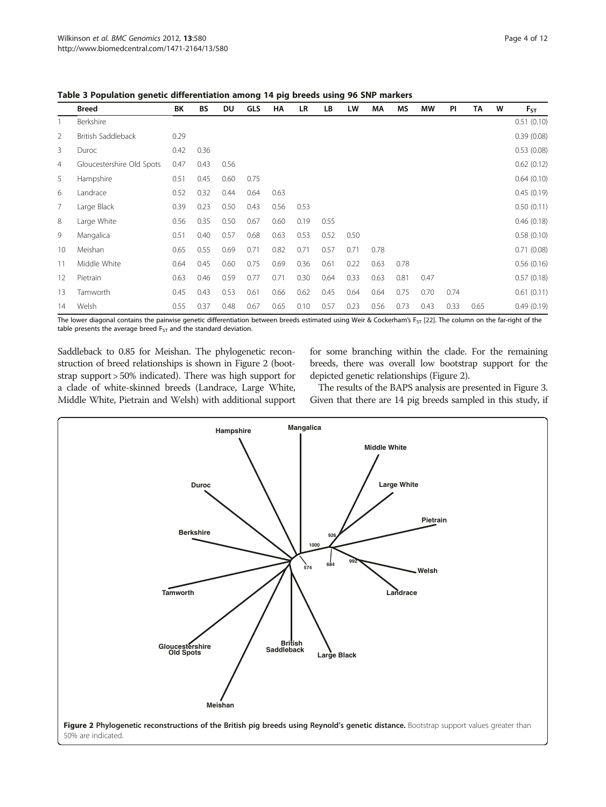|                | <b>Breed</b>              | BK   | <b>BS</b> | DU   | <b>GLS</b> | HA   | LR.  | LB.  | LW   | <b>MA</b> | ΜS   | <b>MW</b> | PI   | TA   | W | $F_{ST}$   |
|----------------|---------------------------|------|-----------|------|------------|------|------|------|------|-----------|------|-----------|------|------|---|------------|
|                | Berkshire                 |      |           |      |            |      |      |      |      |           |      |           |      |      |   | 0.51(0.10) |
| $\overline{2}$ | British Saddleback        | 0.29 |           |      |            |      |      |      |      |           |      |           |      |      |   | 0.39(0.08) |
| 3              | Duroc                     | 0.42 | 0.36      |      |            |      |      |      |      |           |      |           |      |      |   | 0.53(0.08) |
| 4              | Gloucestershire Old Spots | 0.47 | 0.43      | 0.56 |            |      |      |      |      |           |      |           |      |      |   | 0.62(0.12) |
| 5              | Hampshire                 | 0.51 | 0.45      | 0.60 | 0.75       |      |      |      |      |           |      |           |      |      |   | 0.64(0.10) |
| 6              | Landrace                  | 0.52 | 0.32      | 0.44 | 0.64       | 0.63 |      |      |      |           |      |           |      |      |   | 0.45(0.19) |
| $\overline{7}$ | Large Black               | 0.39 | 0.23      | 0.50 | 0.43       | 0.56 | 0.53 |      |      |           |      |           |      |      |   | 0.50(0.11) |
| 8              | Large White               | 0.56 | 0.35      | 0.50 | 0.67       | 0.60 | 0.19 | 0.55 |      |           |      |           |      |      |   | 0.46(0.18) |
| 9              | Mangalica                 | 0.51 | 0.40      | 0.57 | 0.68       | 0.63 | 0.53 | 0.52 | 0.50 |           |      |           |      |      |   | 0.58(0.10) |
| 10             | Meishan                   | 0.65 | 0.55      | 0.69 | 0.71       | 0.82 | 0.71 | 0.57 | 0.71 | 0.78      |      |           |      |      |   | 0.71(0.08) |
| 11             | Middle White              | 0.64 | 0.45      | 0.60 | 0.75       | 0.69 | 0.36 | 0.61 | 0.22 | 0.63      | 0.78 |           |      |      |   | 0.56(0.16) |
| 12             | Pietrain                  | 0.63 | 0.46      | 0.59 | 0.77       | 0.71 | 0.30 | 0.64 | 0.33 | 0.63      | 0.81 | 0.47      |      |      |   | 0.57(0.18) |
| 13             | Tamworth                  | 0.45 | 0.43      | 0.53 | 0.61       | 0.66 | 0.62 | 0.45 | 0.64 | 0.64      | 0.75 | 0.70      | 0.74 |      |   | 0.61(0.11) |
| 14             | Welsh                     | 0.55 | 0.37      | 0.48 | 0.67       | 0.65 | 0.10 | 0.57 | 0.23 | 0.56      | 0.73 | 0.43      | 0.33 | 0.65 |   | 0.49(0.19) |

<span id="page-3-0"></span>Table 3 Population genetic differentiation among 14 pig breeds using 96 SNP markers

The lower diagonal contains the pairwise genetic differentiation between breeds estimated using Weir & Cockerham's  $F_{ST}$  [[22\]](#page-11-0). The column on the far-right of the table presents the average breed  $F_{ST}$  and the standard deviation.

Saddleback to 0.85 for Meishan. The phylogenetic reconstruction of breed relationships is shown in Figure 2 (bootstrap support > 50% indicated). There was high support for a clade of white-skinned breeds (Landrace, Large White, Middle White, Pietrain and Welsh) with additional support for some branching within the clade. For the remaining breeds, there was overall low bootstrap support for the depicted genetic relationships (Figure 2).

The results of the BAPS analysis are presented in Figure [3](#page-4-0). Given that there are 14 pig breeds sampled in this study, if

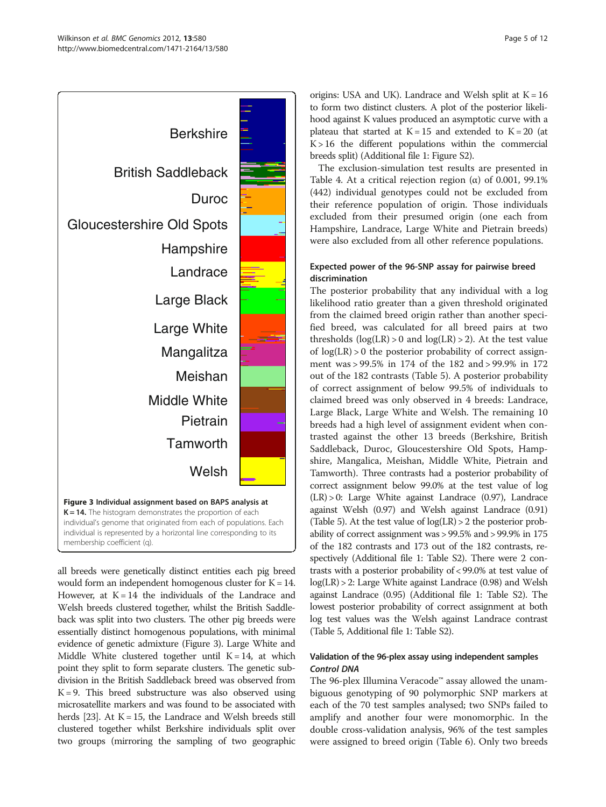<span id="page-4-0"></span>

 $K = 14$ . The histogram demonstrates the proportion of each individual's genome that originated from each of populations. Each individual is represented by a horizontal line corresponding to its membership coefficient (q).

all breeds were genetically distinct entities each pig breed would form an independent homogenous cluster for  $K = 14$ . However, at  $K = 14$  the individuals of the Landrace and Welsh breeds clustered together, whilst the British Saddleback was split into two clusters. The other pig breeds were essentially distinct homogenous populations, with minimal evidence of genetic admixture (Figure 3). Large White and Middle White clustered together until  $K = 14$ , at which point they split to form separate clusters. The genetic subdivision in the British Saddleback breed was observed from  $K = 9$ . This breed substructure was also observed using microsatellite markers and was found to be associated with herds  $[23]$  $[23]$  $[23]$ . At K = 15, the Landrace and Welsh breeds still clustered together whilst Berkshire individuals split over two groups (mirroring the sampling of two geographic

origins: USA and UK). Landrace and Welsh split at  $K = 16$ to form two distinct clusters. A plot of the posterior likelihood against K values produced an asymptotic curve with a plateau that started at  $K = 15$  and extended to  $K = 20$  (at  $K > 16$  the different populations within the commercial breeds split) (Additional file [1:](#page-10-0) Figure S2).

The exclusion-simulation test results are presented in Table [4](#page-5-0). At a critical rejection region ( $\alpha$ ) of 0.001, 99.1% (442) individual genotypes could not be excluded from their reference population of origin. Those individuals excluded from their presumed origin (one each from Hampshire, Landrace, Large White and Pietrain breeds) were also excluded from all other reference populations.

# Expected power of the 96-SNP assay for pairwise breed discrimination

The posterior probability that any individual with a log likelihood ratio greater than a given threshold originated from the claimed breed origin rather than another specified breed, was calculated for all breed pairs at two thresholds  $(log(LR) > 0$  and  $log(LR) > 2$ ). At the test value of  $log(LR) > 0$  the posterior probability of correct assignment was > 99.5% in 174 of the 182 and > 99.9% in 172 out of the 182 contrasts (Table [5\)](#page-5-0). A posterior probability of correct assignment of below 99.5% of individuals to claimed breed was only observed in 4 breeds: Landrace, Large Black, Large White and Welsh. The remaining 10 breeds had a high level of assignment evident when contrasted against the other 13 breeds (Berkshire, British Saddleback, Duroc, Gloucestershire Old Spots, Hampshire, Mangalica, Meishan, Middle White, Pietrain and Tamworth). Three contrasts had a posterior probability of correct assignment below 99.0% at the test value of log (LR) > 0: Large White against Landrace (0.97), Landrace against Welsh (0.97) and Welsh against Landrace (0.91) (Table [5](#page-5-0)). At the test value of  $log(LR) > 2$  the posterior probability of correct assignment was > 99.5% and > 99.9% in 175 of the 182 contrasts and 173 out of the 182 contrasts, respectively (Additional file [1:](#page-10-0) Table S2). There were 2 contrasts with a posterior probability of < 99.0% at test value of log(LR) > 2: Large White against Landrace (0.98) and Welsh against Landrace (0.95) (Additional file [1](#page-10-0): Table S2). The lowest posterior probability of correct assignment at both log test values was the Welsh against Landrace contrast (Table [5](#page-5-0), Additional file [1](#page-10-0): Table S2).

# Validation of the 96-plex assay using independent samples Control DNA

The 96-plex Illumina Veracode™ assay allowed the unambiguous genotyping of 90 polymorphic SNP markers at each of the 70 test samples analysed; two SNPs failed to amplify and another four were monomorphic. In the double cross-validation analysis, 96% of the test samples were assigned to breed origin (Table [6](#page-6-0)). Only two breeds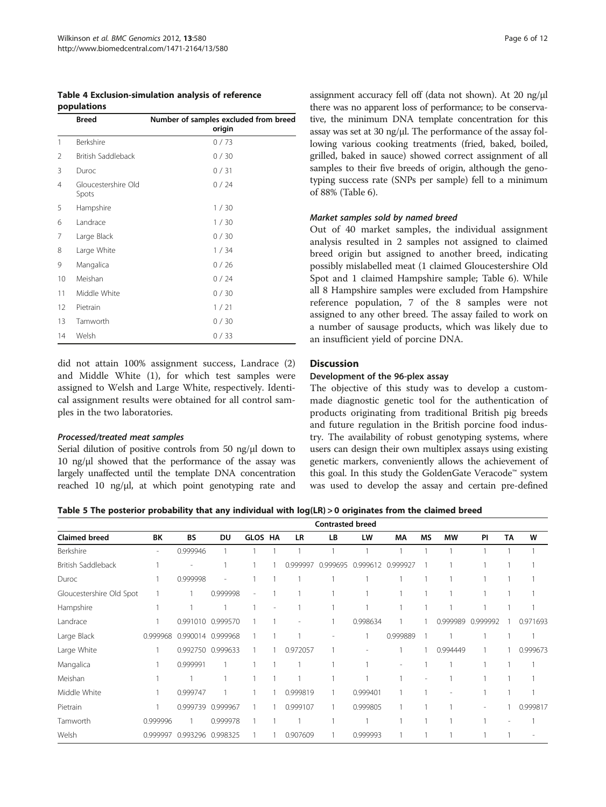<span id="page-5-0"></span>Table 4 Exclusion-simulation analysis of reference populations

|    | <b>Breed</b>                 | Number of samples excluded from breed<br>origin |
|----|------------------------------|-------------------------------------------------|
| 1  | Berkshire                    | 0/73                                            |
| 2  | British Saddleback           | 0/30                                            |
| 3  | Duroc                        | 0/31                                            |
| 4  | Gloucestershire Old<br>Spots | 0/24                                            |
| 5  | Hampshire                    | 1/30                                            |
| 6  | Landrace                     | 1/30                                            |
| 7  | Large Black                  | 0/30                                            |
| 8  | Large White                  | 1/34                                            |
| 9  | Mangalica                    | 0/26                                            |
| 10 | Meishan                      | 0/24                                            |
| 11 | Middle White                 | 0/30                                            |
| 12 | Pietrain                     | 1/21                                            |
| 13 | Tamworth                     | 0/30                                            |
| 14 | Welsh                        | 0/33                                            |

did not attain 100% assignment success, Landrace (2) and Middle White (1), for which test samples were assigned to Welsh and Large White, respectively. Identical assignment results were obtained for all control samples in the two laboratories.

#### Processed/treated meat samples

Serial dilution of positive controls from 50 ng/μl down to 10 ng/μl showed that the performance of the assay was largely unaffected until the template DNA concentration reached 10 ng/μl, at which point genotyping rate and

assignment accuracy fell off (data not shown). At 20 ng/μl there was no apparent loss of performance; to be conservative, the minimum DNA template concentration for this assay was set at 30 ng/μl. The performance of the assay following various cooking treatments (fried, baked, boiled, grilled, baked in sauce) showed correct assignment of all samples to their five breeds of origin, although the genotyping success rate (SNPs per sample) fell to a minimum of 88% (Table [6](#page-6-0)).

# Market samples sold by named breed

Out of 40 market samples, the individual assignment analysis resulted in 2 samples not assigned to claimed breed origin but assigned to another breed, indicating possibly mislabelled meat (1 claimed Gloucestershire Old Spot and 1 claimed Hampshire sample; Table [6\)](#page-6-0). While all 8 Hampshire samples were excluded from Hampshire reference population, 7 of the 8 samples were not assigned to any other breed. The assay failed to work on a number of sausage products, which was likely due to an insufficient yield of porcine DNA.

# **Discussion**

# Development of the 96-plex assay

The objective of this study was to develop a custommade diagnostic genetic tool for the authentication of products originating from traditional British pig breeds and future regulation in the British porcine food industry. The availability of robust genotyping systems, where users can design their own multiplex assays using existing genetic markers, conveniently allows the achievement of this goal. In this study the GoldenGate Veracode™ system was used to develop the assay and certain pre-defined

| Table 5 The posterior probability that any individual with log(LR) > 0 originates from the claimed breed |  |  |  |  |  |
|----------------------------------------------------------------------------------------------------------|--|--|--|--|--|
|                                                                                                          |  |  |  |  |  |

|                          | <b>Contrasted breed</b>  |                          |                   |                |  |           |          |          |                |           |           |          |           |          |
|--------------------------|--------------------------|--------------------------|-------------------|----------------|--|-----------|----------|----------|----------------|-----------|-----------|----------|-----------|----------|
| <b>Claimed breed</b>     | BK                       | <b>BS</b>                | DU                | GLOS HA        |  | <b>LR</b> | LB       | LW       | MΑ             | <b>MS</b> | <b>MW</b> | PI       | <b>TA</b> | W        |
| Berkshire                | $\overline{\phantom{a}}$ | 0.999946                 |                   |                |  |           |          |          |                |           |           |          |           |          |
| British Saddleback       |                          | $\overline{\phantom{a}}$ |                   |                |  | 0.999997  | 0.999695 | 0.999612 | 0.999927       |           |           |          |           |          |
| Duroc                    |                          | 0.999998                 |                   |                |  |           |          |          |                |           |           |          |           |          |
| Gloucestershire Old Spot |                          |                          | 0.999998          | $\overline{a}$ |  |           |          |          |                |           |           |          |           |          |
| Hampshire                |                          |                          |                   |                |  |           |          |          |                |           |           |          |           |          |
| Landrace                 |                          |                          | 0.991010 0.999570 |                |  |           |          | 0.998634 |                |           | 0.999989  | 0.999992 |           | 0.971693 |
| Large Black              | 0.999968                 |                          | 0.990014 0.999968 |                |  |           |          |          | 0.999889       |           |           |          |           | 1        |
| Large White              |                          |                          | 0.992750 0.999633 |                |  | 0.972057  |          |          |                |           | 0.994449  |          |           | 0.999673 |
| Mangalica                |                          | 0.999991                 |                   |                |  |           |          |          | $\overline{a}$ |           |           |          |           |          |
| Meishan                  |                          |                          |                   |                |  |           |          |          |                |           |           |          |           |          |
| Middle White             |                          | 0.999747                 |                   |                |  | 0.999819  |          | 0.999401 |                |           |           |          |           |          |
| Pietrain                 |                          | 0.999739                 | 0.999967          |                |  | 0.999107  |          | 0.999805 |                |           |           |          |           | 0.999817 |
| Tamworth                 | 0.999996                 |                          | 0.999978          |                |  |           |          |          |                |           |           |          |           |          |
| Welsh                    | 0.999997                 | 0.993296                 | 0.998325          |                |  | 0.907609  |          | 0.999993 |                |           |           |          |           |          |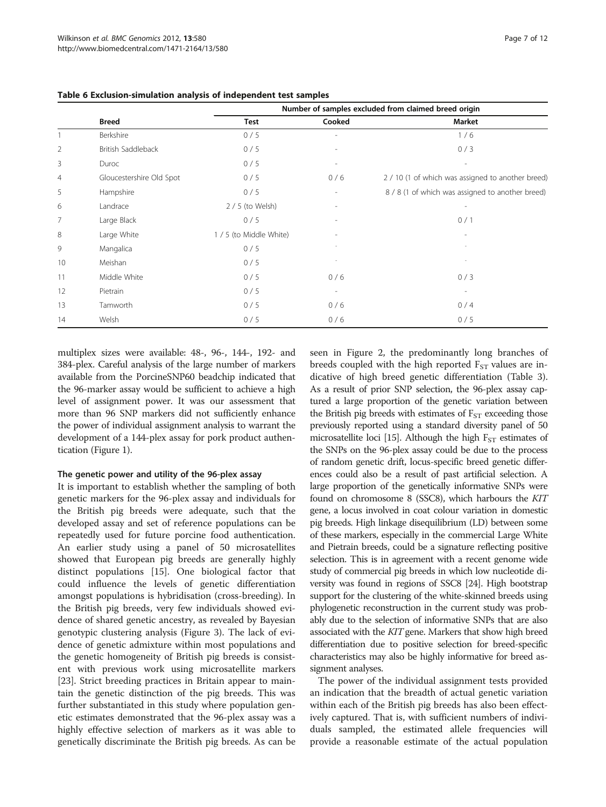|                |                          | Number of samples excluded from claimed breed origin |                          |                                                   |  |  |  |  |  |  |  |
|----------------|--------------------------|------------------------------------------------------|--------------------------|---------------------------------------------------|--|--|--|--|--|--|--|
|                | <b>Breed</b>             | Test                                                 | Cooked                   | Market                                            |  |  |  |  |  |  |  |
|                | Berkshire                | 0/5                                                  |                          | 1/6                                               |  |  |  |  |  |  |  |
| $\overline{2}$ | British Saddleback       | 0/5                                                  |                          | 0/3                                               |  |  |  |  |  |  |  |
| 3              | Duroc                    | 0/5                                                  |                          |                                                   |  |  |  |  |  |  |  |
| 4              | Gloucestershire Old Spot | 0/5                                                  | 0/6                      | 2 / 10 (1 of which was assigned to another breed) |  |  |  |  |  |  |  |
| 5              | Hampshire                | 0/5                                                  |                          | 8 / 8 (1 of which was assigned to another breed)  |  |  |  |  |  |  |  |
| 6              | Landrace                 | $2/5$ (to Welsh)                                     |                          |                                                   |  |  |  |  |  |  |  |
| 7              | Large Black              | 0/5                                                  |                          | 0/1                                               |  |  |  |  |  |  |  |
| 8              | Large White              | 1 / 5 (to Middle White)                              |                          |                                                   |  |  |  |  |  |  |  |
| 9              | Mangalica                | 0/5                                                  |                          |                                                   |  |  |  |  |  |  |  |
| 10             | Meishan                  | 0/5                                                  |                          |                                                   |  |  |  |  |  |  |  |
| 11             | Middle White             | 0/5                                                  | 0/6                      | 0/3                                               |  |  |  |  |  |  |  |
| 12             | Pietrain                 | 0/5                                                  | $\overline{\phantom{a}}$ | $\overline{\phantom{m}}$                          |  |  |  |  |  |  |  |
| 13             | Tamworth                 | 0/5                                                  | 0/6                      | 0/4                                               |  |  |  |  |  |  |  |
| 14             | Welsh                    | 0/5                                                  | 0/6                      | 0/5                                               |  |  |  |  |  |  |  |

<span id="page-6-0"></span>Table 6 Exclusion-simulation analysis of independent test samples

multiplex sizes were available: 48-, 96-, 144-, 192- and 384-plex. Careful analysis of the large number of markers available from the PorcineSNP60 beadchip indicated that the 96-marker assay would be sufficient to achieve a high level of assignment power. It was our assessment that more than 96 SNP markers did not sufficiently enhance the power of individual assignment analysis to warrant the development of a 144-plex assay for pork product authentication (Figure [1\)](#page-2-0).

#### The genetic power and utility of the 96-plex assay

It is important to establish whether the sampling of both genetic markers for the 96-plex assay and individuals for the British pig breeds were adequate, such that the developed assay and set of reference populations can be repeatedly used for future porcine food authentication. An earlier study using a panel of 50 microsatellites showed that European pig breeds are generally highly distinct populations [[15](#page-11-0)]. One biological factor that could influence the levels of genetic differentiation amongst populations is hybridisation (cross-breeding). In the British pig breeds, very few individuals showed evidence of shared genetic ancestry, as revealed by Bayesian genotypic clustering analysis (Figure [3](#page-4-0)). The lack of evidence of genetic admixture within most populations and the genetic homogeneity of British pig breeds is consistent with previous work using microsatellite markers [[23\]](#page-11-0). Strict breeding practices in Britain appear to maintain the genetic distinction of the pig breeds. This was further substantiated in this study where population genetic estimates demonstrated that the 96-plex assay was a highly effective selection of markers as it was able to genetically discriminate the British pig breeds. As can be

seen in Figure [2,](#page-3-0) the predominantly long branches of breeds coupled with the high reported  $F_{ST}$  values are indicative of high breed genetic differentiation (Table [3](#page-3-0)). As a result of prior SNP selection, the 96-plex assay captured a large proportion of the genetic variation between the British pig breeds with estimates of  $F_{ST}$  exceeding those previously reported using a standard diversity panel of 50 microsatellite loci [\[15\]](#page-11-0). Although the high  $F_{ST}$  estimates of the SNPs on the 96-plex assay could be due to the process of random genetic drift, locus-specific breed genetic differences could also be a result of past artificial selection. A large proportion of the genetically informative SNPs were found on chromosome 8 (SSC8), which harbours the KIT gene, a locus involved in coat colour variation in domestic pig breeds. High linkage disequilibrium (LD) between some of these markers, especially in the commercial Large White and Pietrain breeds, could be a signature reflecting positive selection. This is in agreement with a recent genome wide study of commercial pig breeds in which low nucleotide diversity was found in regions of SSC8 [\[24\]](#page-11-0). High bootstrap support for the clustering of the white-skinned breeds using phylogenetic reconstruction in the current study was probably due to the selection of informative SNPs that are also associated with the KIT gene. Markers that show high breed differentiation due to positive selection for breed-specific characteristics may also be highly informative for breed assignment analyses.

The power of the individual assignment tests provided an indication that the breadth of actual genetic variation within each of the British pig breeds has also been effectively captured. That is, with sufficient numbers of individuals sampled, the estimated allele frequencies will provide a reasonable estimate of the actual population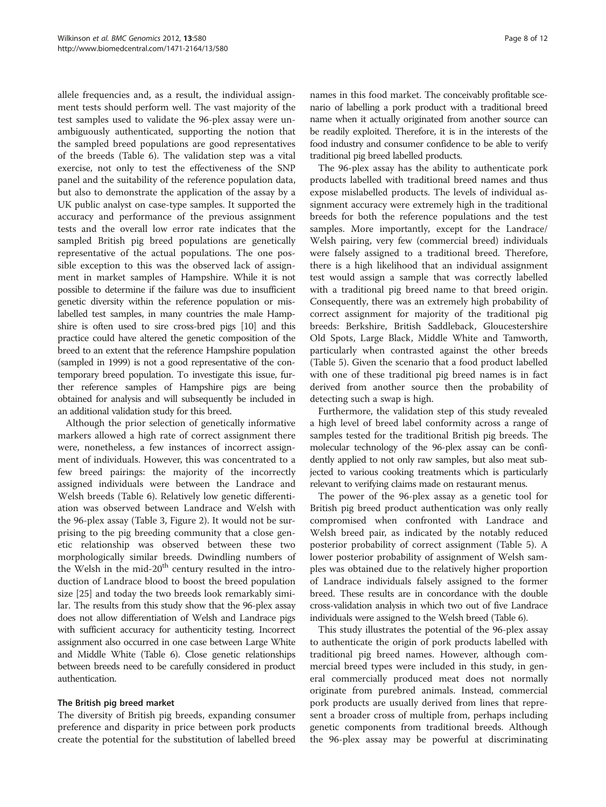allele frequencies and, as a result, the individual assignment tests should perform well. The vast majority of the test samples used to validate the 96-plex assay were unambiguously authenticated, supporting the notion that the sampled breed populations are good representatives of the breeds (Table [6](#page-6-0)). The validation step was a vital exercise, not only to test the effectiveness of the SNP panel and the suitability of the reference population data, but also to demonstrate the application of the assay by a UK public analyst on case-type samples. It supported the accuracy and performance of the previous assignment tests and the overall low error rate indicates that the sampled British pig breed populations are genetically representative of the actual populations. The one possible exception to this was the observed lack of assignment in market samples of Hampshire. While it is not possible to determine if the failure was due to insufficient genetic diversity within the reference population or mislabelled test samples, in many countries the male Hampshire is often used to sire cross-bred pigs [[10](#page-10-0)] and this practice could have altered the genetic composition of the breed to an extent that the reference Hampshire population (sampled in 1999) is not a good representative of the contemporary breed population. To investigate this issue, further reference samples of Hampshire pigs are being obtained for analysis and will subsequently be included in an additional validation study for this breed.

Although the prior selection of genetically informative markers allowed a high rate of correct assignment there were, nonetheless, a few instances of incorrect assignment of individuals. However, this was concentrated to a few breed pairings: the majority of the incorrectly assigned individuals were between the Landrace and Welsh breeds (Table [6](#page-6-0)). Relatively low genetic differentiation was observed between Landrace and Welsh with the 96-plex assay (Table [3](#page-3-0), Figure [2](#page-3-0)). It would not be surprising to the pig breeding community that a close genetic relationship was observed between these two morphologically similar breeds. Dwindling numbers of the Welsh in the mid- $20<sup>th</sup>$  century resulted in the introduction of Landrace blood to boost the breed population size [[25\]](#page-11-0) and today the two breeds look remarkably similar. The results from this study show that the 96-plex assay does not allow differentiation of Welsh and Landrace pigs with sufficient accuracy for authenticity testing. Incorrect assignment also occurred in one case between Large White and Middle White (Table [6](#page-6-0)). Close genetic relationships between breeds need to be carefully considered in product authentication.

# The British pig breed market

The diversity of British pig breeds, expanding consumer preference and disparity in price between pork products create the potential for the substitution of labelled breed names in this food market. The conceivably profitable scenario of labelling a pork product with a traditional breed name when it actually originated from another source can be readily exploited. Therefore, it is in the interests of the food industry and consumer confidence to be able to verify traditional pig breed labelled products.

The 96-plex assay has the ability to authenticate pork products labelled with traditional breed names and thus expose mislabelled products. The levels of individual assignment accuracy were extremely high in the traditional breeds for both the reference populations and the test samples. More importantly, except for the Landrace/ Welsh pairing, very few (commercial breed) individuals were falsely assigned to a traditional breed. Therefore, there is a high likelihood that an individual assignment test would assign a sample that was correctly labelled with a traditional pig breed name to that breed origin. Consequently, there was an extremely high probability of correct assignment for majority of the traditional pig breeds: Berkshire, British Saddleback, Gloucestershire Old Spots, Large Black, Middle White and Tamworth, particularly when contrasted against the other breeds (Table [5\)](#page-5-0). Given the scenario that a food product labelled with one of these traditional pig breed names is in fact derived from another source then the probability of detecting such a swap is high.

Furthermore, the validation step of this study revealed a high level of breed label conformity across a range of samples tested for the traditional British pig breeds. The molecular technology of the 96-plex assay can be confidently applied to not only raw samples, but also meat subjected to various cooking treatments which is particularly relevant to verifying claims made on restaurant menus.

The power of the 96-plex assay as a genetic tool for British pig breed product authentication was only really compromised when confronted with Landrace and Welsh breed pair, as indicated by the notably reduced posterior probability of correct assignment (Table [5](#page-5-0)). A lower posterior probability of assignment of Welsh samples was obtained due to the relatively higher proportion of Landrace individuals falsely assigned to the former breed. These results are in concordance with the double cross-validation analysis in which two out of five Landrace individuals were assigned to the Welsh breed (Table [6](#page-6-0)).

This study illustrates the potential of the 96-plex assay to authenticate the origin of pork products labelled with traditional pig breed names. However, although commercial breed types were included in this study, in general commercially produced meat does not normally originate from purebred animals. Instead, commercial pork products are usually derived from lines that represent a broader cross of multiple from, perhaps including genetic components from traditional breeds. Although the 96-plex assay may be powerful at discriminating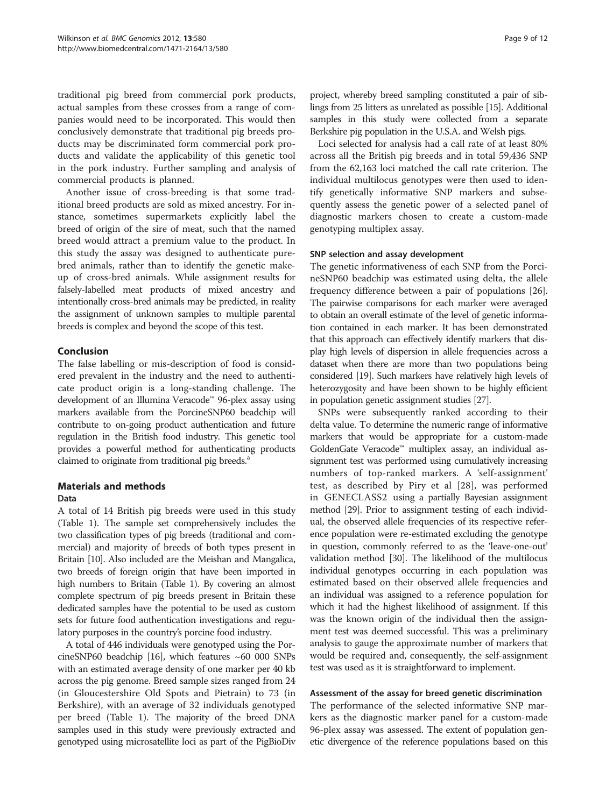traditional pig breed from commercial pork products, actual samples from these crosses from a range of companies would need to be incorporated. This would then conclusively demonstrate that traditional pig breeds products may be discriminated form commercial pork products and validate the applicability of this genetic tool in the pork industry. Further sampling and analysis of commercial products is planned.

Another issue of cross-breeding is that some traditional breed products are sold as mixed ancestry. For instance, sometimes supermarkets explicitly label the breed of origin of the sire of meat, such that the named breed would attract a premium value to the product. In this study the assay was designed to authenticate purebred animals, rather than to identify the genetic makeup of cross-bred animals. While assignment results for falsely-labelled meat products of mixed ancestry and intentionally cross-bred animals may be predicted, in reality the assignment of unknown samples to multiple parental breeds is complex and beyond the scope of this test.

# Conclusion

The false labelling or mis-description of food is considered prevalent in the industry and the need to authenticate product origin is a long-standing challenge. The development of an Illumina Veracode™ 96-plex assay using markers available from the PorcineSNP60 beadchip will contribute to on-going product authentication and future regulation in the British food industry. This genetic tool provides a powerful method for authenticating products claimed to originate from traditional pig breeds.<sup>a</sup>

# Materials and methods

#### Data

A total of 14 British pig breeds were used in this study (Table [1](#page-1-0)). The sample set comprehensively includes the two classification types of pig breeds (traditional and commercial) and majority of breeds of both types present in Britain [\[10](#page-10-0)]. Also included are the Meishan and Mangalica, two breeds of foreign origin that have been imported in high numbers to Britain (Table [1](#page-1-0)). By covering an almost complete spectrum of pig breeds present in Britain these dedicated samples have the potential to be used as custom sets for future food authentication investigations and regulatory purposes in the country's porcine food industry.

A total of 446 individuals were genotyped using the PorcineSNP60 beadchip [[16](#page-11-0)], which features ~60 000 SNPs with an estimated average density of one marker per 40 kb across the pig genome. Breed sample sizes ranged from 24 (in Gloucestershire Old Spots and Pietrain) to 73 (in Berkshire), with an average of 32 individuals genotyped per breed (Table [1\)](#page-1-0). The majority of the breed DNA samples used in this study were previously extracted and genotyped using microsatellite loci as part of the PigBioDiv project, whereby breed sampling constituted a pair of siblings from 25 litters as unrelated as possible [\[15\]](#page-11-0). Additional samples in this study were collected from a separate Berkshire pig population in the U.S.A. and Welsh pigs.

Loci selected for analysis had a call rate of at least 80% across all the British pig breeds and in total 59,436 SNP from the 62,163 loci matched the call rate criterion. The individual multilocus genotypes were then used to identify genetically informative SNP markers and subsequently assess the genetic power of a selected panel of diagnostic markers chosen to create a custom-made genotyping multiplex assay.

### SNP selection and assay development

The genetic informativeness of each SNP from the PorcineSNP60 beadchip was estimated using delta, the allele frequency difference between a pair of populations [[26](#page-11-0)]. The pairwise comparisons for each marker were averaged to obtain an overall estimate of the level of genetic information contained in each marker. It has been demonstrated that this approach can effectively identify markers that display high levels of dispersion in allele frequencies across a dataset when there are more than two populations being considered [\[19](#page-11-0)]. Such markers have relatively high levels of heterozygosity and have been shown to be highly efficient in population genetic assignment studies [[27\]](#page-11-0).

SNPs were subsequently ranked according to their delta value. To determine the numeric range of informative markers that would be appropriate for a custom-made GoldenGate Veracode™ multiplex assay, an individual assignment test was performed using cumulatively increasing numbers of top-ranked markers. A 'self-assignment' test, as described by Piry et al [[28\]](#page-11-0), was performed in GENECLASS2 using a partially Bayesian assignment method [[29\]](#page-11-0). Prior to assignment testing of each individual, the observed allele frequencies of its respective reference population were re-estimated excluding the genotype in question, commonly referred to as the 'leave-one-out' validation method [[30](#page-11-0)]. The likelihood of the multilocus individual genotypes occurring in each population was estimated based on their observed allele frequencies and an individual was assigned to a reference population for which it had the highest likelihood of assignment. If this was the known origin of the individual then the assignment test was deemed successful. This was a preliminary analysis to gauge the approximate number of markers that would be required and, consequently, the self-assignment test was used as it is straightforward to implement.

# Assessment of the assay for breed genetic discrimination

The performance of the selected informative SNP markers as the diagnostic marker panel for a custom-made 96-plex assay was assessed. The extent of population genetic divergence of the reference populations based on this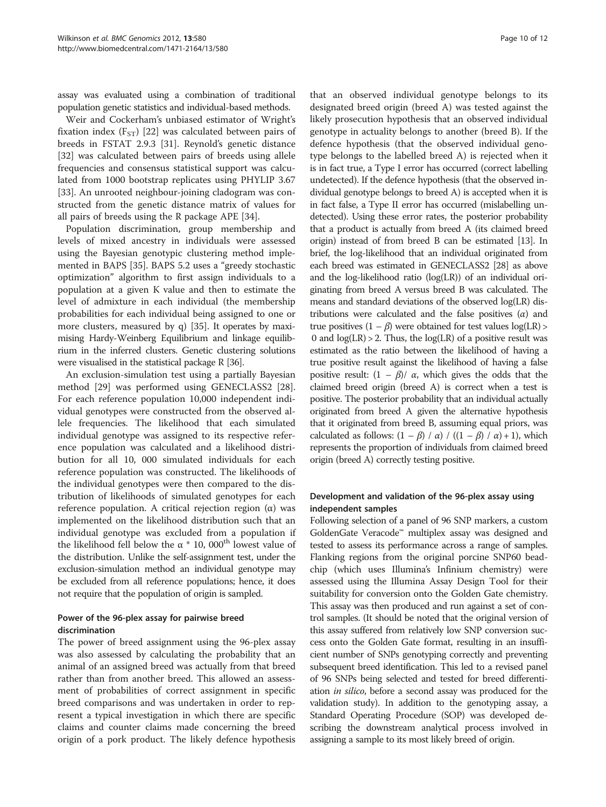assay was evaluated using a combination of traditional population genetic statistics and individual-based methods.

Weir and Cockerham's unbiased estimator of Wright's fixation index  $(F_{ST})$  [\[22](#page-11-0)] was calculated between pairs of breeds in FSTAT 2.9.3 [\[31\]](#page-11-0). Reynold's genetic distance [[32\]](#page-11-0) was calculated between pairs of breeds using allele frequencies and consensus statistical support was calculated from 1000 bootstrap replicates using PHYLIP 3.67 [[33\]](#page-11-0). An unrooted neighbour-joining cladogram was constructed from the genetic distance matrix of values for all pairs of breeds using the R package APE [\[34](#page-11-0)].

Population discrimination, group membership and levels of mixed ancestry in individuals were assessed using the Bayesian genotypic clustering method implemented in BAPS [[35](#page-11-0)]. BAPS 5.2 uses a "greedy stochastic optimization" algorithm to first assign individuals to a population at a given K value and then to estimate the level of admixture in each individual (the membership probabilities for each individual being assigned to one or more clusters, measured by q) [[35](#page-11-0)]. It operates by maximising Hardy-Weinberg Equilibrium and linkage equilibrium in the inferred clusters. Genetic clustering solutions were visualised in the statistical package R [[36](#page-11-0)].

An exclusion-simulation test using a partially Bayesian method [[29\]](#page-11-0) was performed using GENECLASS2 [\[28](#page-11-0)]. For each reference population 10,000 independent individual genotypes were constructed from the observed allele frequencies. The likelihood that each simulated individual genotype was assigned to its respective reference population was calculated and a likelihood distribution for all 10, 000 simulated individuals for each reference population was constructed. The likelihoods of the individual genotypes were then compared to the distribution of likelihoods of simulated genotypes for each reference population. A critical rejection region (α) was implemented on the likelihood distribution such that an individual genotype was excluded from a population if the likelihood fell below the  $\alpha$  \* 10, 000<sup>th</sup> lowest value of the distribution. Unlike the self-assignment test, under the exclusion-simulation method an individual genotype may be excluded from all reference populations; hence, it does not require that the population of origin is sampled.

# Power of the 96-plex assay for pairwise breed discrimination

The power of breed assignment using the 96-plex assay was also assessed by calculating the probability that an animal of an assigned breed was actually from that breed rather than from another breed. This allowed an assessment of probabilities of correct assignment in specific breed comparisons and was undertaken in order to represent a typical investigation in which there are specific claims and counter claims made concerning the breed origin of a pork product. The likely defence hypothesis

that an observed individual genotype belongs to its designated breed origin (breed A) was tested against the likely prosecution hypothesis that an observed individual genotype in actuality belongs to another (breed B). If the defence hypothesis (that the observed individual genotype belongs to the labelled breed A) is rejected when it is in fact true, a Type I error has occurred (correct labelling undetected). If the defence hypothesis (that the observed individual genotype belongs to breed A) is accepted when it is in fact false, a Type II error has occurred (mislabelling undetected). Using these error rates, the posterior probability that a product is actually from breed A (its claimed breed origin) instead of from breed B can be estimated [[13](#page-11-0)]. In brief, the log-likelihood that an individual originated from each breed was estimated in GENECLASS2 [\[28](#page-11-0)] as above and the log-likelihood ratio (log(LR)) of an individual originating from breed A versus breed B was calculated. The means and standard deviations of the observed log(LR) distributions were calculated and the false positives  $(\alpha)$  and true positives  $(1 – β)$  were obtained for test values  $log(LR)$ 0 and  $log(LR) > 2$ . Thus, the  $log(LR)$  of a positive result was estimated as the ratio between the likelihood of having a true positive result against the likelihood of having a false positive result:  $(1 - \beta)/\alpha$ , which gives the odds that the claimed breed origin (breed A) is correct when a test is positive. The posterior probability that an individual actually originated from breed A given the alternative hypothesis that it originated from breed B, assuming equal priors, was calculated as follows:  $(1 - \beta) / \alpha$ ) /  $((1 - \beta) / \alpha) + 1$ ), which represents the proportion of individuals from claimed breed origin (breed A) correctly testing positive.

# Development and validation of the 96-plex assay using independent samples

Following selection of a panel of 96 SNP markers, a custom GoldenGate Veracode™ multiplex assay was designed and tested to assess its performance across a range of samples. Flanking regions from the original porcine SNP60 beadchip (which uses Illumina's Infinium chemistry) were assessed using the Illumina Assay Design Tool for their suitability for conversion onto the Golden Gate chemistry. This assay was then produced and run against a set of control samples. (It should be noted that the original version of this assay suffered from relatively low SNP conversion success onto the Golden Gate format, resulting in an insufficient number of SNPs genotyping correctly and preventing subsequent breed identification. This led to a revised panel of 96 SNPs being selected and tested for breed differentiation in silico, before a second assay was produced for the validation study). In addition to the genotyping assay, a Standard Operating Procedure (SOP) was developed describing the downstream analytical process involved in assigning a sample to its most likely breed of origin.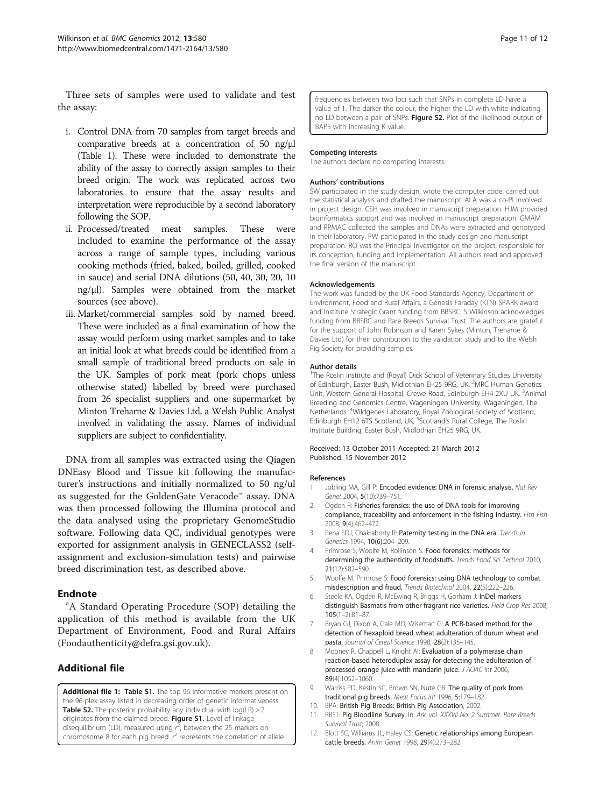<span id="page-10-0"></span>Three sets of samples were used to validate and test the assay:

- i. Control DNA from 70 samples from target breeds and comparative breeds at a concentration of 50 ng/μl (Table [1](#page-1-0)). These were included to demonstrate the ability of the assay to correctly assign samples to their breed origin. The work was replicated across two laboratories to ensure that the assay results and interpretation were reproducible by a second laboratory following the SOP.
- ii. Processed/treated meat samples. These were included to examine the performance of the assay across a range of sample types, including various cooking methods (fried, baked, boiled, grilled, cooked in sauce) and serial DNA dilutions (50, 40, 30, 20, 10 ng/μl). Samples were obtained from the market sources (see above).
- iii. Market/commercial samples sold by named breed. These were included as a final examination of how the assay would perform using market samples and to take an initial look at what breeds could be identified from a small sample of traditional breed products on sale in the UK. Samples of pork meat (pork chops unless otherwise stated) labelled by breed were purchased from 26 specialist suppliers and one supermarket by Minton Treharne & Davies Ltd, a Welsh Public Analyst involved in validating the assay. Names of individual suppliers are subject to confidentiality.

DNA from all samples was extracted using the Qiagen DNEasy Blood and Tissue kit following the manufacturer's instructions and initially normalized to 50 ng/ul as suggested for the GoldenGate Veracode™ assay. DNA was then processed following the Illumina protocol and the data analysed using the proprietary GenomeStudio software. Following data QC, individual genotypes were exported for assignment analysis in GENECLASS2 (selfassignment and exclusion-simulation tests) and pairwise breed discrimination test, as described above.

#### **Endnote**

<sup>a</sup>A Standard Operating Procedure (SOP) detailing the application of this method is available from the UK Department of Environment, Food and Rural Affairs (Foodauthenticity@defra.gsi.gov.uk).

# Additional file

[Additional file 1:](http://www.biomedcentral.com/content/supplementary/1471-2164-13-580-S1.doc) Table S1. The top 96 informative markers present on the 96-plex assay listed in decreasing order of genetic informativeness. **Table S2.** The posterior probability any individual with  $log(LR) > 2$ originates from the claimed breed. Figure S1. Level of linkage disequilibrium (LD), measured using  $r^2$ , between the 25 markers on chromosome 8 for each pig breed.  $r^2$  represents the correlation of allele

frequencies between two loci such that SNPs in complete LD have a value of 1. The darker the colour, the higher the LD with white indicating no LD between a pair of SNPs. Figure S2. Plot of the likelihood output of BAPS with increasing K value.

#### Competing interests

The authors declare no competing interests.

#### Authors' contributions

SW participated in the study design, wrote the computer code, carried out the statistical analysis and drafted the manuscript. ALA was a co-PI involved in project design. CSH was involved in manuscript preparation. HJM provided bioinformatics support and was involved in manuscript preparation. GMAM and RPMAC collected the samples and DNAs were extracted and genotyped in their laboratory. PW participated in the study design and manuscript preparation. RO was the Principal Investigator on the project, responsible for its conception, funding and implementation. All authors read and approved the final version of the manuscript.

#### Acknowledgements

The work was funded by the UK Food Standards Agency, Department of Environment, Food and Rural Affairs, a Genesis Faraday (KTN) SPARK award and Institute Strategic Grant funding from BBSRC. S Wilkinson acknowledges funding from BBSRC and Rare Breeds Survival Trust. The authors are grateful for the support of John Robinson and Karen Sykes (Minton, Treharne & Davies Ltd) for their contribution to the validation study and to the Welsh Pig Society for providing samples.

#### Author details

<sup>1</sup>The Roslin Institute and (Royal) Dick School of Veterinary Studies University of Edinburgh, Easter Bush, Midlothian EH25 9RG, UK. <sup>2</sup>MRC Human Genetics Unit, Western General Hospital, Crewe Road, Edinburgh EH4 2XU UK. <sup>3</sup>Animal Breeding and Genomics Centre, Wageningen University, Wageningen, The Netherlands. <sup>4</sup>Wildgenes Laboratory, Royal Zoological Society of Scotland, Edinburgh EH12 6TS Scotland, UK.<sup>5</sup>Scotland's Rural College, The Roslin Institute Building, Easter Bush, Midlothian EH25 9RG, UK.

#### Received: 13 October 2011 Accepted: 21 March 2012 Published: 15 November 2012

#### References

- 1. Jobling MA, Gill P: Encoded evidence: DNA in forensic analysis. Nat Rev Genet 2004, 5(10):739–751.
- 2. Ogden R: Fisheries forensics: the use of DNA tools for improving compliance, traceability and enforcement in the fishing industry. Fish Fish 2008, 9(4):462–472.
- 3. Pena SDJ, Chakraborty R: Paternity testing in the DNA era. Trends in Genetics 1994, 10(6):204–209.
- 4. Primrose S, Woolfe M, Rollinson S: Food forensics: methods for determining the authenticity of foodstuffs. Trends Food Sci Technol 2010, 21(12):582–590.
- 5. Woolfe M, Primrose S: Food forensics: using DNA technology to combat misdescription and fraud. Trends Biotechnol 2004, 22(5):222–226.
- 6. Steele KA, Ogden R, McEwing R, Briggs H, Gorham J: InDel markers distinguish Basmatis from other fragrant rice varieties. Field Crop Res 2008, 105(1–2):81–87.
- 7. Bryan GJ, Dixon A, Gale MD, Wiseman G: A PCR-based method for the detection of hexaploid bread wheat adulteration of durum wheat and pasta. Journal of Cereal Science 1998, 28(2):135-145.
- 8. Mooney R, Chappell L, Knight AI: Evaluation of a polymerase chain reaction-based heteroduplex assay for detecting the adulteration of processed orange juice with mandarin juice. J AOAC Int 2006, 89(4):1052–1060.
- 9. Warriss PD, Kestin SC, Brown SN, Nute GR: The quality of pork from traditional pig breeds. Meat Focus Int 1996, 5:179–182.
- 10. BPA: British Pig Breeds: British Pig Association; 2002.
- 11. RBST: Pig Bloodline Survey. In: Ark. vol. XXXVII No. 2 Summer: Rare Breeds Survival Trust; 2008.
- 12. Blott SC, Williams JL, Haley CS: Genetic relationships among European cattle breeds. Anim Genet 1998, 29(4):273–282.